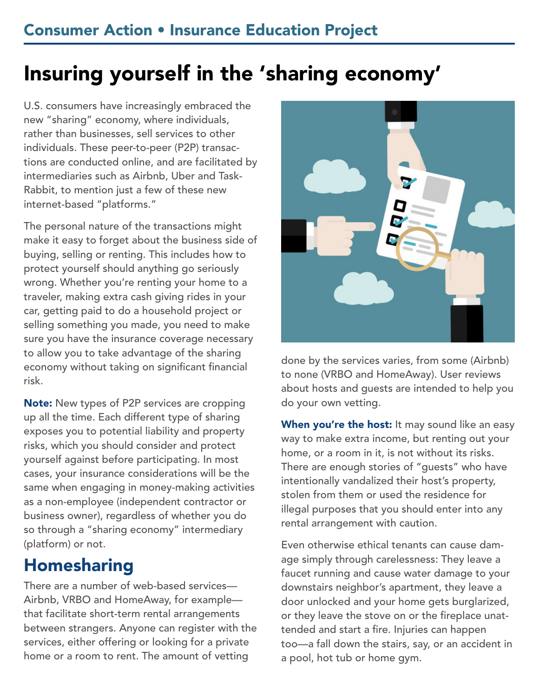# Insuring yourself in the 'sharing economy'

U.S. consumers have increasingly embraced the new "sharing" economy, where individuals, rather than businesses, sell services to other individuals. These peer-to-peer (P2P) transactions are conducted online, and are facilitated by intermediaries such as Airbnb, Uber and Task-Rabbit, to mention just a few of these new internet-based "platforms."

The personal nature of the transactions might make it easy to forget about the business side of buying, selling or renting. This includes how to protect yourself should anything go seriously wrong. Whether you're renting your home to a traveler, making extra cash giving rides in your car, getting paid to do a household project or selling something you made, you need to make sure you have the insurance coverage necessary to allow you to take advantage of the sharing economy without taking on significant financial risk.

Note: New types of P2P services are cropping up all the time. Each different type of sharing exposes you to potential liability and property risks, which you should consider and protect yourself against before participating. In most cases, your insurance considerations will be the same when engaging in money-making activities as a non-employee (independent contractor or business owner), regardless of whether you do so through a "sharing economy" intermediary (platform) or not.

## Homesharing

There are a number of web-based services— Airbnb, VRBO and HomeAway, for example that facilitate short-term rental arrangements between strangers. Anyone can register with the services, either offering or looking for a private home or a room to rent. The amount of vetting



done by the services varies, from some (Airbnb) to none (VRBO and HomeAway). User reviews about hosts and guests are intended to help you do your own vetting.

When you're the host: It may sound like an easy way to make extra income, but renting out your home, or a room in it, is not without its risks. There are enough stories of "guests" who have intentionally vandalized their host's property, stolen from them or used the residence for illegal purposes that you should enter into any rental arrangement with caution.

Even otherwise ethical tenants can cause damage simply through carelessness: They leave a faucet running and cause water damage to your downstairs neighbor's apartment, they leave a door unlocked and your home gets burglarized, or they leave the stove on or the fireplace unattended and start a fire. Injuries can happen too—a fall down the stairs, say, or an accident in a pool, hot tub or home gym.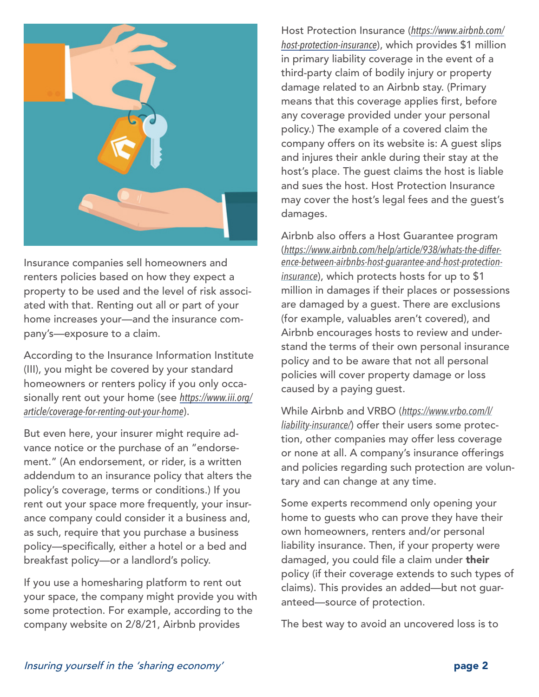

Insurance companies sell homeowners and renters policies based on how they expect a property to be used and the level of risk associated with that. Renting out all or part of your home increases your—and the insurance company's—exposure to a claim.

According to the Insurance Information Institute (III), you might be covered by your standard homeowners or renters policy if you only occasionally rent out your home (see *[https://www.iii.org/](https://www.iii.org/article/coverage-for-renting-out-your-home) [article/coverage-for-renting-out-your-home](https://www.iii.org/article/coverage-for-renting-out-your-home)*).

But even here, your insurer might require advance notice or the purchase of an "endorsement." (An endorsement, or rider, is a written addendum to an insurance policy that alters the policy's coverage, terms or conditions.) If you rent out your space more frequently, your insurance company could consider it a business and, as such, require that you purchase a business policy—specifically, either a hotel or a bed and breakfast policy—or a landlord's policy.

If you use a homesharing platform to rent out your space, the company might provide you with some protection. For example, according to the company website on 2/8/21, Airbnb provides

Host Protection Insurance (*[https://www.airbnb.com/](https://www.airbnb.com/host-protection-insurance) [host-protection-insurance](https://www.airbnb.com/host-protection-insurance)*), which provides \$1 million in primary liability coverage in the event of a third-party claim of bodily injury or property damage related to an Airbnb stay. (Primary means that this coverage applies first, before any coverage provided under your personal policy.) The example of a covered claim the company offers on its website is: A guest slips and injures their ankle during their stay at the host's place. The guest claims the host is liable and sues the host. Host Protection Insurance may cover the host's legal fees and the guest's damages.

Airbnb also offers a Host Guarantee program (*[https://www.airbnb.com/help/article/938/whats-the-differ](https://www.airbnb.com/help/article/938/whats-the-difference-between-airbnbs-host-guarantee-and-host-protection-insurance)[ence-between-airbnbs-host-guarantee-and-host-protection](https://www.airbnb.com/help/article/938/whats-the-difference-between-airbnbs-host-guarantee-and-host-protection-insurance)[insurance](https://www.airbnb.com/help/article/938/whats-the-difference-between-airbnbs-host-guarantee-and-host-protection-insurance)*), which protects hosts for up to \$1 million in damages if their places or possessions are damaged by a guest. There are exclusions (for example, valuables aren't covered), and Airbnb encourages hosts to review and understand the terms of their own personal insurance policy and to be aware that not all personal policies will cover property damage or loss caused by a paying guest.

While Airbnb and VRBO (*[https://www.vrbo.com/l/](https://www.vrbo.com/l/liability-insurance/) [liability-insurance/](https://www.vrbo.com/l/liability-insurance/)*) offer their users some protection, other companies may offer less coverage or none at all. A company's insurance offerings and policies regarding such protection are voluntary and can change at any time.

Some experts recommend only opening your home to guests who can prove they have their own homeowners, renters and/or personal liability insurance. Then, if your property were damaged, you could file a claim under their policy (if their coverage extends to such types of claims). This provides an added—but not guaranteed—source of protection.

The best way to avoid an uncovered loss is to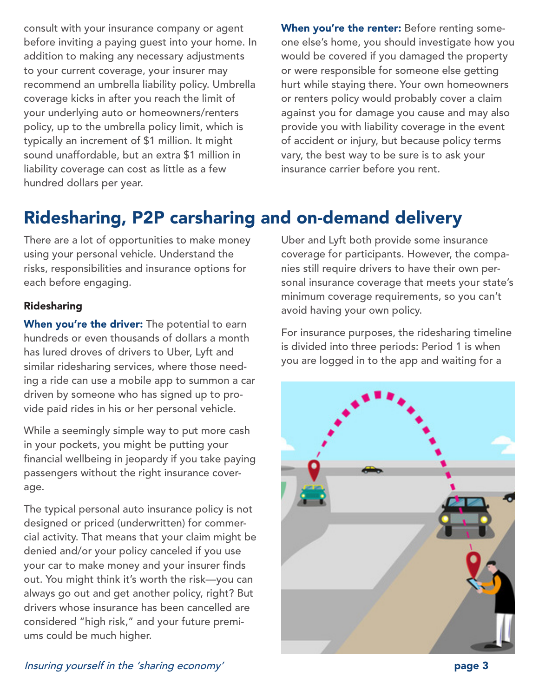consult with your insurance company or agent before inviting a paying guest into your home. In addition to making any necessary adjustments to your current coverage, your insurer may recommend an umbrella liability policy. Umbrella coverage kicks in after you reach the limit of your underlying auto or homeowners/renters policy, up to the umbrella policy limit, which is typically an increment of \$1 million. It might sound unaffordable, but an extra \$1 million in liability coverage can cost as little as a few hundred dollars per year.

When you're the renter: Before renting someone else's home, you should investigate how you would be covered if you damaged the property or were responsible for someone else getting hurt while staying there. Your own homeowners or renters policy would probably cover a claim against you for damage you cause and may also provide you with liability coverage in the event of accident or injury, but because policy terms vary, the best way to be sure is to ask your insurance carrier before you rent.

## Ridesharing, P2P carsharing and on-demand delivery

There are a lot of opportunities to make money using your personal vehicle. Understand the risks, responsibilities and insurance options for each before engaging.

#### Ridesharing

When you're the driver: The potential to earn hundreds or even thousands of dollars a month has lured droves of drivers to Uber, Lyft and similar ridesharing services, where those needing a ride can use a mobile app to summon a car driven by someone who has signed up to provide paid rides in his or her personal vehicle.

While a seemingly simple way to put more cash in your pockets, you might be putting your financial wellbeing in jeopardy if you take paying passengers without the right insurance coverage.

The typical personal auto insurance policy is not designed or priced (underwritten) for commercial activity. That means that your claim might be denied and/or your policy canceled if you use your car to make money and your insurer finds out. You might think it's worth the risk—you can always go out and get another policy, right? But drivers whose insurance has been cancelled are considered "high risk," and your future premiums could be much higher.

Uber and Lyft both provide some insurance coverage for participants. However, the companies still require drivers to have their own personal insurance coverage that meets your state's minimum coverage requirements, so you can't avoid having your own policy.

For insurance purposes, the ridesharing timeline is divided into three periods: Period 1 is when you are logged in to the app and waiting for a



Insuring yourself in the 'sharing economy' page 3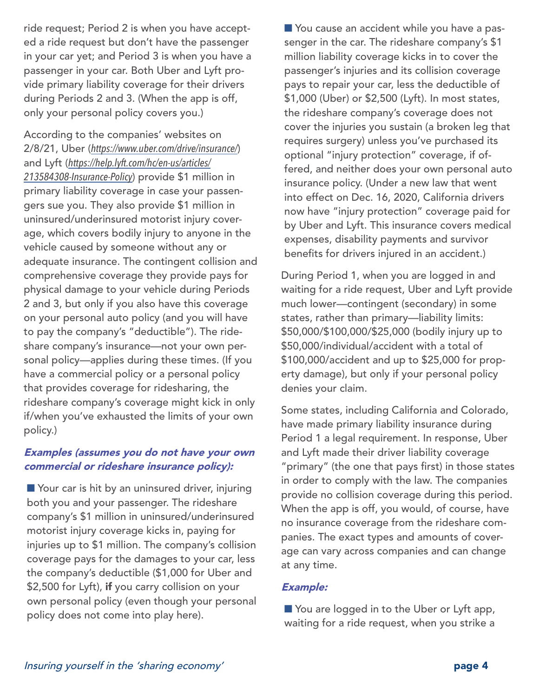ride request; Period 2 is when you have accepted a ride request but don't have the passenger in your car yet; and Period 3 is when you have a passenger in your car. Both Uber and Lyft provide primary liability coverage for their drivers during Periods 2 and 3. (When the app is off, only your personal policy covers you.)

According to the companies' websites on 2/8/21, Uber (*<https://www.uber.com/drive/insurance/>*) and Lyft (*[https://help.lyft.com/hc/en-us/articles/](https://help.lyft.com/hc/en-us/articles/213584308-Insurance-Policy) [213584308-Insurance-Policy](https://help.lyft.com/hc/en-us/articles/213584308-Insurance-Policy)*) provide \$1 million in primary liability coverage in case your passengers sue you. They also provide \$1 million in uninsured/underinsured motorist injury coverage, which covers bodily injury to anyone in the vehicle caused by someone without any or adequate insurance. The contingent collision and comprehensive coverage they provide pays for physical damage to your vehicle during Periods 2 and 3, but only if you also have this coverage on your personal auto policy (and you will have to pay the company's "deductible"). The rideshare company's insurance—not your own personal policy—applies during these times. (If you have a commercial policy or a personal policy that provides coverage for ridesharing, the rideshare company's coverage might kick in only if/when you've exhausted the limits of your own policy.)

### Examples (assumes you do not have your own commercial or rideshare insurance policy):

■ Your car is hit by an uninsured driver, injuring both you and your passenger. The rideshare company's \$1 million in uninsured/underinsured motorist injury coverage kicks in, paying for injuries up to \$1 million. The company's collision coverage pays for the damages to your car, less the company's deductible (\$1,000 for Uber and \$2,500 for Lyft), if you carry collision on your own personal policy (even though your personal policy does not come into play here).

■ You cause an accident while you have a passenger in the car. The rideshare company's \$1 million liability coverage kicks in to cover the passenger's injuries and its collision coverage pays to repair your car, less the deductible of \$1,000 (Uber) or \$2,500 (Lyft). In most states, the rideshare company's coverage does not cover the injuries you sustain (a broken leg that requires surgery) unless you've purchased its optional "injury protection" coverage, if offered, and neither does your own personal auto insurance policy. (Under a new law that went into effect on Dec. 16, 2020, California drivers now have "injury protection" coverage paid for by Uber and Lyft. This insurance covers medical expenses, disability payments and survivor benefits for drivers injured in an accident.)

During Period 1, when you are logged in and waiting for a ride request, Uber and Lyft provide much lower—contingent (secondary) in some states, rather than primary—liability limits: \$50,000/\$100,000/\$25,000 (bodily injury up to \$50,000/individual/accident with a total of \$100,000/accident and up to \$25,000 for property damage), but only if your personal policy denies your claim.

Some states, including California and Colorado, have made primary liability insurance during Period 1 a legal requirement. In response, Uber and Lyft made their driver liability coverage "primary" (the one that pays first) in those states in order to comply with the law. The companies provide no collision coverage during this period. When the app is off, you would, of course, have no insurance coverage from the rideshare companies. The exact types and amounts of coverage can vary across companies and can change at any time.

#### Example:

■ You are logged in to the Uber or Lyft app, waiting for a ride request, when you strike a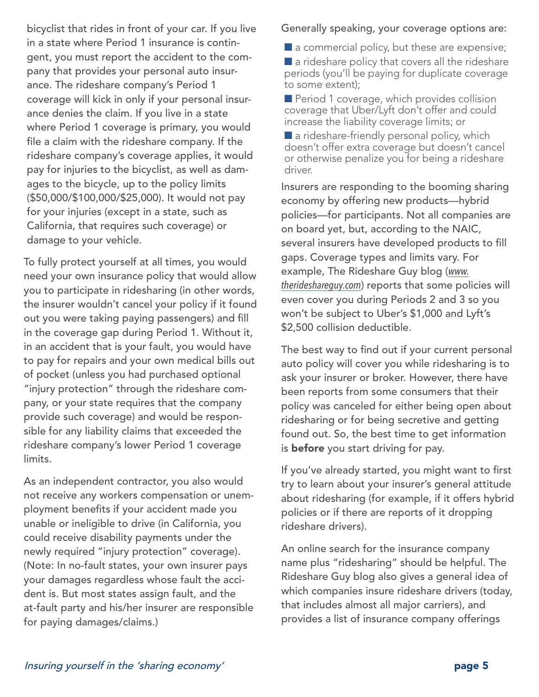bicyclist that rides in front of your car. If you live in a state where Period 1 insurance is contingent, you must report the accident to the company that provides your personal auto insurance. The rideshare company's Period 1 coverage will kick in only if your personal insurance denies the claim. If you live in a state where Period 1 coverage is primary, you would file a claim with the rideshare company. If the rideshare company's coverage applies, it would pay for injuries to the bicyclist, as well as damages to the bicycle, up to the policy limits (\$50,000/\$100,000/\$25,000). It would not pay for your injuries (except in a state, such as California, that requires such coverage) or damage to your vehicle.

To fully protect yourself at all times, you would need your own insurance policy that would allow you to participate in ridesharing (in other words, the insurer wouldn't cancel your policy if it found out you were taking paying passengers) and fill in the coverage gap during Period 1. Without it, in an accident that is your fault, you would have to pay for repairs and your own medical bills out of pocket (unless you had purchased optional "injury protection" through the rideshare company, or your state requires that the company provide such coverage) and would be responsible for any liability claims that exceeded the rideshare company's lower Period 1 coverage limits.

As an independent contractor, you also would not receive any workers compensation or unemployment benefits if your accident made you unable or ineligible to drive (in California, you could receive disability payments under the newly required "injury protection" coverage). (Note: In no-fault states, your own insurer pays your damages regardless whose fault the accident is. But most states assign fault, and the at-fault party and his/her insurer are responsible for paying damages/claims.)

Generally speaking, your coverage options are:

 $\blacksquare$  a commercial policy, but these are expensive;

 $\blacksquare$  a rideshare policy that covers all the rideshare periods (you'll be paying for duplicate coverage to some extent);

Period 1 coverage, which provides collision coverage that Uber/Lyft don't offer and could increase the liability coverage limits; or

 $\blacksquare$  a rideshare-friendly personal policy, which doesn't offer extra coverage but doesn't cancel or otherwise penalize you for being a rideshare driver.

Insurers are responding to the booming sharing economy by offering new products—hybrid policies—for participants. Not all companies are on board yet, but, according to the NAIC, several insurers have developed products to fill gaps. Coverage types and limits vary. For example, The Rideshare Guy blog (*[www.](http://www.therideshareguy.com) [therideshareguy.com](http://www.therideshareguy.com)*) reports that some policies will even cover you during Periods 2 and 3 so you won't be subject to Uber's \$1,000 and Lyft's \$2,500 collision deductible.

The best way to find out if your current personal auto policy will cover you while ridesharing is to ask your insurer or broker. However, there have been reports from some consumers that their policy was canceled for either being open about ridesharing or for being secretive and getting found out. So, the best time to get information is **before** you start driving for pay.

If you've already started, you might want to first try to learn about your insurer's general attitude about ridesharing (for example, if it offers hybrid policies or if there are reports of it dropping rideshare drivers).

An online search for the insurance company name plus "ridesharing" should be helpful. The Rideshare Guy blog also gives a general idea of which companies insure rideshare drivers (today, that includes almost all major carriers), and provides a list of insurance company offerings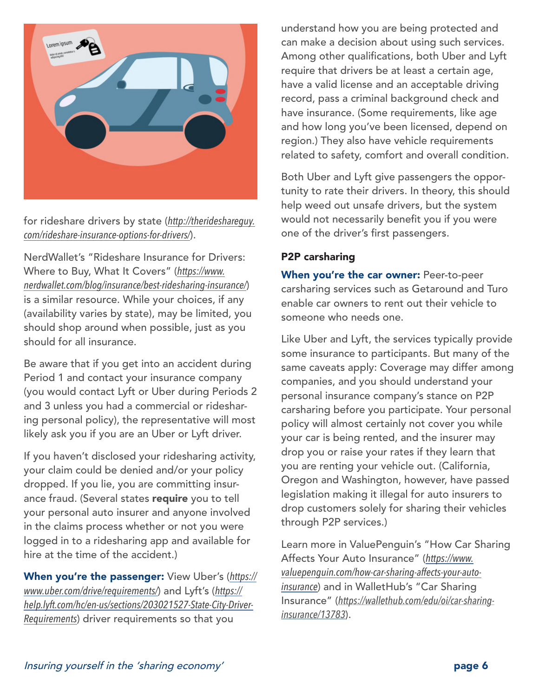

for rideshare drivers by state (*[http://therideshareguy.](http://therideshareguy.com/rideshare-insurance-options-for-drivers/) [com/rideshare-insurance-options-for-drivers/](http://therideshareguy.com/rideshare-insurance-options-for-drivers/)*).

NerdWallet's "Rideshare Insurance for Drivers: Where to Buy, What It Covers" (*[https://www.](https://www.nerdwallet.com/blog/insurance/best-ridesharing-insurance/) [nerdwallet.com/blog/insurance/best-ridesharing-insurance/](https://www.nerdwallet.com/blog/insurance/best-ridesharing-insurance/)*) is a similar resource. While your choices, if any (availability varies by state), may be limited, you should shop around when possible, just as you should for all insurance.

Be aware that if you get into an accident during Period 1 and contact your insurance company (you would contact Lyft or Uber during Periods 2 and 3 unless you had a commercial or ridesharing personal policy), the representative will most likely ask you if you are an Uber or Lyft driver.

If you haven't disclosed your ridesharing activity, your claim could be denied and/or your policy dropped. If you lie, you are committing insurance fraud. (Several states require you to tell your personal auto insurer and anyone involved in the claims process whether or not you were logged in to a ridesharing app and available for hire at the time of the accident.)

When you're the passenger: View Uber's (*[https://](https://www.uber.com/drive/requirements/) [www.uber.com/drive/requirements/](https://www.uber.com/drive/requirements/)*) and Lyft's (*[https://](https://help.lyft.com/hc/en-us/sections/203021527-State-City-Driver-Requirements) [help.lyft.com/hc/en-us/sections/203021527-State-City-Driver-](https://help.lyft.com/hc/en-us/sections/203021527-State-City-Driver-Requirements)[Requirements](https://help.lyft.com/hc/en-us/sections/203021527-State-City-Driver-Requirements)*) driver requirements so that you

understand how you are being protected and can make a decision about using such services. Among other qualifications, both Uber and Lyft require that drivers be at least a certain age, have a valid license and an acceptable driving record, pass a criminal background check and have insurance. (Some requirements, like age and how long you've been licensed, depend on region.) They also have vehicle requirements related to safety, comfort and overall condition.

Both Uber and Lyft give passengers the opportunity to rate their drivers. In theory, this should help weed out unsafe drivers, but the system would not necessarily benefit you if you were one of the driver's first passengers.

### P2P carsharing

When you're the car owner: Peer-to-peer carsharing services such as Getaround and Turo enable car owners to rent out their vehicle to someone who needs one.

Like Uber and Lyft, the services typically provide some insurance to participants. But many of the same caveats apply: Coverage may differ among companies, and you should understand your personal insurance company's stance on P2P carsharing before you participate. Your personal policy will almost certainly not cover you while your car is being rented, and the insurer may drop you or raise your rates if they learn that you are renting your vehicle out. (California, Oregon and Washington, however, have passed legislation making it illegal for auto insurers to drop customers solely for sharing their vehicles through P2P services.)

Learn more in ValuePenguin's "How Car Sharing Affects Your Auto Insurance" (*[https://www.](https://www.valuepenguin.com/how-car-sharing-affects-your-auto-insurance) [valuepenguin.com/how-car-sharing-affects-your-auto](https://www.valuepenguin.com/how-car-sharing-affects-your-auto-insurance)[insurance](https://www.valuepenguin.com/how-car-sharing-affects-your-auto-insurance)*) and in WalletHub's "Car Sharing Insurance" (*[https://wallethub.com/edu/oi/car-sharing](https://wallethub.com/edu/oi/car-sharing-insurance/13783)[insurance/13783](https://wallethub.com/edu/oi/car-sharing-insurance/13783)*).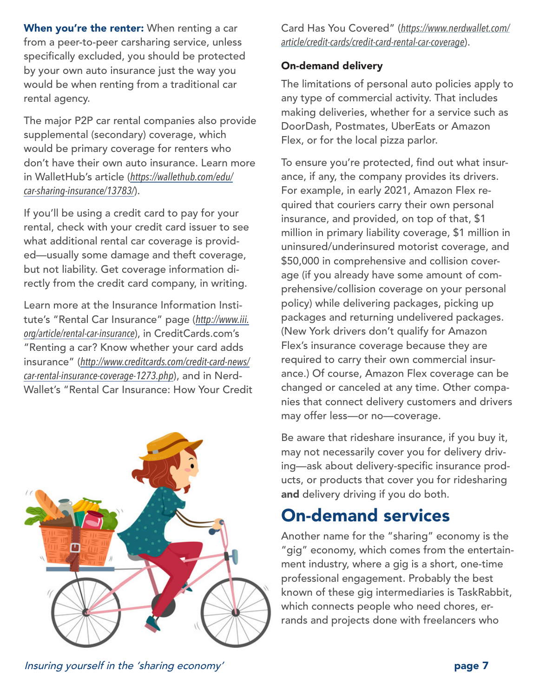When you're the renter: When renting a car from a peer-to-peer carsharing service, unless specifically excluded, you should be protected by your own auto insurance just the way you would be when renting from a traditional car rental agency.

The major P2P car rental companies also provide supplemental (secondary) coverage, which would be primary coverage for renters who don't have their own auto insurance. Learn more in WalletHub's article (*[https://wallethub.com/edu/](https://wallethub.com/edu/car-sharing-insurance/13783/) [car-sharing-insurance/13783/](https://wallethub.com/edu/car-sharing-insurance/13783/)*).

If you'll be using a credit card to pay for your rental, check with your credit card issuer to see what additional rental car coverage is provided—usually some damage and theft coverage, but not liability. Get coverage information directly from the credit card company, in writing.

Learn more at the Insurance Information Institute's "Rental Car Insurance" page (*[http://www.iii.](http://www.iii.org/article/rental-car-insurance) [org/article/rental-car-insurance](http://www.iii.org/article/rental-car-insurance)*), in CreditCards.com's "Renting a car? Know whether your card adds insurance" (*[http://www.creditcards.com/credit-card-news/](http://www.creditcards.com/credit-card-news/car-rental-insurance-coverage-1273.php) [car-rental-insurance-coverage-1273.php](http://www.creditcards.com/credit-card-news/car-rental-insurance-coverage-1273.php)*), and in Nerd-Wallet's "Rental Car Insurance: How Your Credit



Card Has You Covered" (*[https://www.nerdwallet.com/](https://www.nerdwallet.com/article/credit-cards/credit-card-rental-car-coverage) [article/credit-cards/credit-card-rental-car-coverage](https://www.nerdwallet.com/article/credit-cards/credit-card-rental-car-coverage)*).

### On-demand delivery

The limitations of personal auto policies apply to any type of commercial activity. That includes making deliveries, whether for a service such as DoorDash, Postmates, UberEats or Amazon Flex, or for the local pizza parlor.

To ensure you're protected, find out what insurance, if any, the company provides its drivers. For example, in early 2021, Amazon Flex required that couriers carry their own personal insurance, and provided, on top of that, \$1 million in primary liability coverage, \$1 million in uninsured/underinsured motorist coverage, and \$50,000 in comprehensive and collision coverage (if you already have some amount of comprehensive/collision coverage on your personal policy) while delivering packages, picking up packages and returning undelivered packages. (New York drivers don't qualify for Amazon Flex's insurance coverage because they are required to carry their own commercial insurance.) Of course, Amazon Flex coverage can be changed or canceled at any time. Other companies that connect delivery customers and drivers may offer less—or no—coverage.

Be aware that rideshare insurance, if you buy it, may not necessarily cover you for delivery driving—ask about delivery-specific insurance products, or products that cover you for ridesharing and delivery driving if you do both.

## On-demand services

Another name for the "sharing" economy is the "gig" economy, which comes from the entertainment industry, where a gig is a short, one-time professional engagement. Probably the best known of these gig intermediaries is TaskRabbit, which connects people who need chores, errands and projects done with freelancers who

Insuring yourself in the 'sharing economy' page 7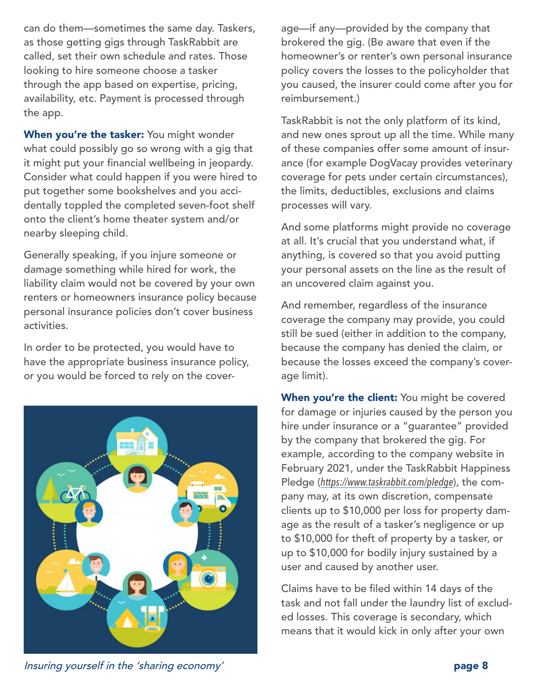can do them—sometimes the same day. Taskers, as those getting gigs through TaskRabbit are called, set their own schedule and rates. Those looking to hire someone choose a tasker through the app based on expertise, pricing, availability, etc. Payment is processed through the app.

When you're the tasker: You might wonder what could possibly go so wrong with a gig that it might put your financial wellbeing in jeopardy. Consider what could happen if you were hired to put together some bookshelves and you accidentally toppled the completed seven-foot shelf onto the client's home theater system and/or nearby sleeping child.

Generally speaking, if you injure someone or damage something while hired for work, the liability claim would not be covered by your own renters or homeowners insurance policy because personal insurance policies don't cover business activities.

In order to be protected, you would have to have the appropriate business insurance policy, or you would be forced to rely on the cover-



age—if any—provided by the company that brokered the gig. (Be aware that even if the homeowner's or renter's own personal insurance policy covers the losses to the policyholder that you caused, the insurer could come after you for reimbursement.)

TaskRabbit is not the only platform of its kind, and new ones sprout up all the time. While many of these companies offer some amount of insurance (for example DogVacay provides veterinary coverage for pets under certain circumstances), the limits, deductibles, exclusions and claims processes will vary.

And some platforms might provide no coverage at all. It's crucial that you understand what, if anything, is covered so that you avoid putting your personal assets on the line as the result of an uncovered claim against you.

And remember, regardless of the insurance coverage the company may provide, you could still be sued (either in addition to the company, because the company has denied the claim, or because the losses exceed the company's coverage limit).

When you're the client: You might be covered for damage or injuries caused by the person you hire under insurance or a "guarantee" provided by the company that brokered the gig. For example, according to the company website in February 2021, under the TaskRabbit Happiness Pledge (*<https://www.taskrabbit.com/pledge>*), the company may, at its own discretion, compensate clients up to \$10,000 per loss for property damage as the result of a tasker's negligence or up to \$10,000 for theft of property by a tasker, or up to \$10,000 for bodily injury sustained by a user and caused by another user.

Claims have to be filed within 14 days of the task and not fall under the laundry list of excluded losses. This coverage is secondary, which means that it would kick in only after your own

Insuring yourself in the 'sharing economy' **page 8** and the state of the state of the state of the state of the s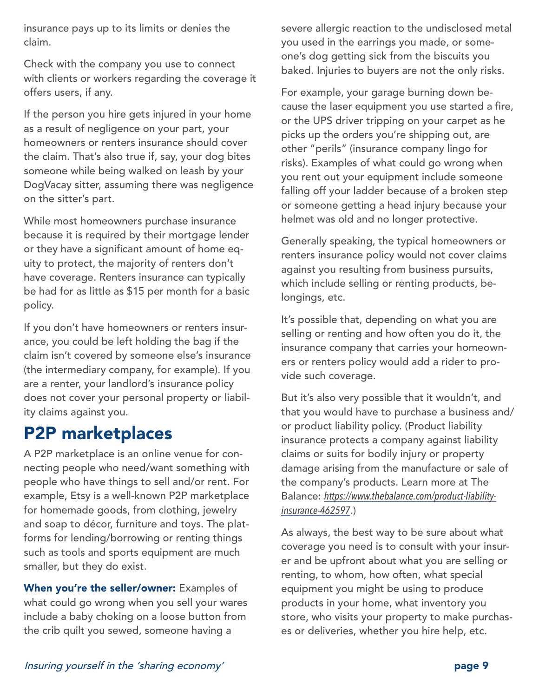insurance pays up to its limits or denies the claim.

Check with the company you use to connect with clients or workers regarding the coverage it offers users, if any.

If the person you hire gets injured in your home as a result of negligence on your part, your homeowners or renters insurance should cover the claim. That's also true if, say, your dog bites someone while being walked on leash by your DogVacay sitter, assuming there was negligence on the sitter's part.

While most homeowners purchase insurance because it is required by their mortgage lender or they have a significant amount of home equity to protect, the majority of renters don't have coverage. Renters insurance can typically be had for as little as \$15 per month for a basic policy.

If you don't have homeowners or renters insurance, you could be left holding the bag if the claim isn't covered by someone else's insurance (the intermediary company, for example). If you are a renter, your landlord's insurance policy does not cover your personal property or liability claims against you.

## P2P marketplaces

A P2P marketplace is an online venue for connecting people who need/want something with people who have things to sell and/or rent. For example, Etsy is a well-known P2P marketplace for homemade goods, from clothing, jewelry and soap to décor, furniture and toys. The platforms for lending/borrowing or renting things such as tools and sports equipment are much smaller, but they do exist.

When you're the seller/owner: Examples of what could go wrong when you sell your wares include a baby choking on a loose button from the crib quilt you sewed, someone having a

severe allergic reaction to the undisclosed metal you used in the earrings you made, or someone's dog getting sick from the biscuits you baked. Injuries to buyers are not the only risks.

For example, your garage burning down because the laser equipment you use started a fire, or the UPS driver tripping on your carpet as he picks up the orders you're shipping out, are other "perils" (insurance company lingo for risks). Examples of what could go wrong when you rent out your equipment include someone falling off your ladder because of a broken step or someone getting a head injury because your helmet was old and no longer protective.

Generally speaking, the typical homeowners or renters insurance policy would not cover claims against you resulting from business pursuits, which include selling or renting products, belongings, etc.

It's possible that, depending on what you are selling or renting and how often you do it, the insurance company that carries your homeowners or renters policy would add a rider to provide such coverage.

But it's also very possible that it wouldn't, and that you would have to purchase a business and/ or product liability policy. (Product liability insurance protects a company against liability claims or suits for bodily injury or property damage arising from the manufacture or sale of the company's products. Learn more at The Balance: *[https://www.thebalance.com/product-liability](https://www.thebalance.com/product-liability-insurance-462597)[insurance-462597](https://www.thebalance.com/product-liability-insurance-462597)*.)

As always, the best way to be sure about what coverage you need is to consult with your insurer and be upfront about what you are selling or renting, to whom, how often, what special equipment you might be using to produce products in your home, what inventory you store, who visits your property to make purchases or deliveries, whether you hire help, etc.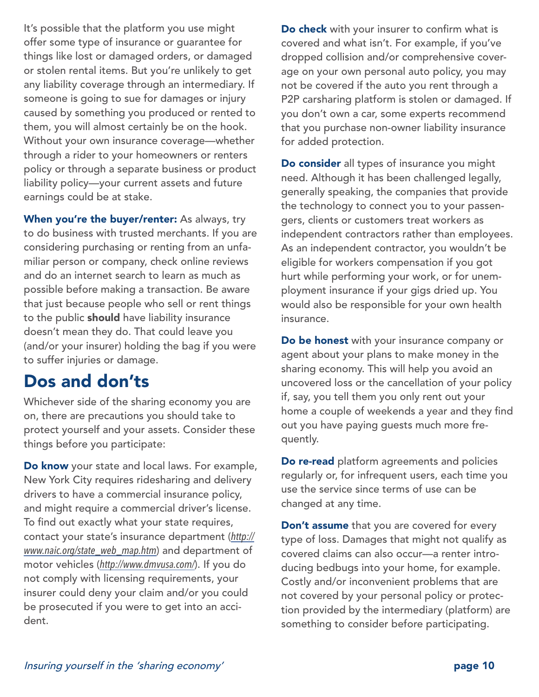It's possible that the platform you use might offer some type of insurance or guarantee for things like lost or damaged orders, or damaged or stolen rental items. But you're unlikely to get any liability coverage through an intermediary. If someone is going to sue for damages or injury caused by something you produced or rented to them, you will almost certainly be on the hook. Without your own insurance coverage—whether through a rider to your homeowners or renters policy or through a separate business or product liability policy—your current assets and future earnings could be at stake.

When you're the buyer/renter: As always, try to do business with trusted merchants. If you are considering purchasing or renting from an unfamiliar person or company, check online reviews and do an internet search to learn as much as possible before making a transaction. Be aware that just because people who sell or rent things to the public should have liability insurance doesn't mean they do. That could leave you (and/or your insurer) holding the bag if you were to suffer injuries or damage.

### Dos and don'ts

Whichever side of the sharing economy you are on, there are precautions you should take to protect yourself and your assets. Consider these things before you participate:

Do know your state and local laws. For example, New York City requires ridesharing and delivery drivers to have a commercial insurance policy, and might require a commercial driver's license. To find out exactly what your state requires, contact your state's insurance department (*[http://](http://www.naic.org/state_web_map.htm) [www.naic.org/state\\_web\\_map.htm](http://www.naic.org/state_web_map.htm)*) and department of motor vehicles (*<http://www.dmvusa.com/>*). If you do not comply with licensing requirements, your insurer could deny your claim and/or you could be prosecuted if you were to get into an accident.

Do check with your insurer to confirm what is covered and what isn't. For example, if you've dropped collision and/or comprehensive coverage on your own personal auto policy, you may not be covered if the auto you rent through a P2P carsharing platform is stolen or damaged. If you don't own a car, some experts recommend that you purchase non-owner liability insurance for added protection.

Do consider all types of insurance you might need. Although it has been challenged legally, generally speaking, the companies that provide the technology to connect you to your passengers, clients or customers treat workers as independent contractors rather than employees. As an independent contractor, you wouldn't be eligible for workers compensation if you got hurt while performing your work, or for unemployment insurance if your gigs dried up. You would also be responsible for your own health insurance.

Do be honest with your insurance company or agent about your plans to make money in the sharing economy. This will help you avoid an uncovered loss or the cancellation of your policy if, say, you tell them you only rent out your home a couple of weekends a year and they find out you have paying guests much more frequently.

Do re-read platform agreements and policies regularly or, for infrequent users, each time you use the service since terms of use can be changed at any time.

**Don't assume** that you are covered for every type of loss. Damages that might not qualify as covered claims can also occur—a renter introducing bedbugs into your home, for example. Costly and/or inconvenient problems that are not covered by your personal policy or protection provided by the intermediary (platform) are something to consider before participating.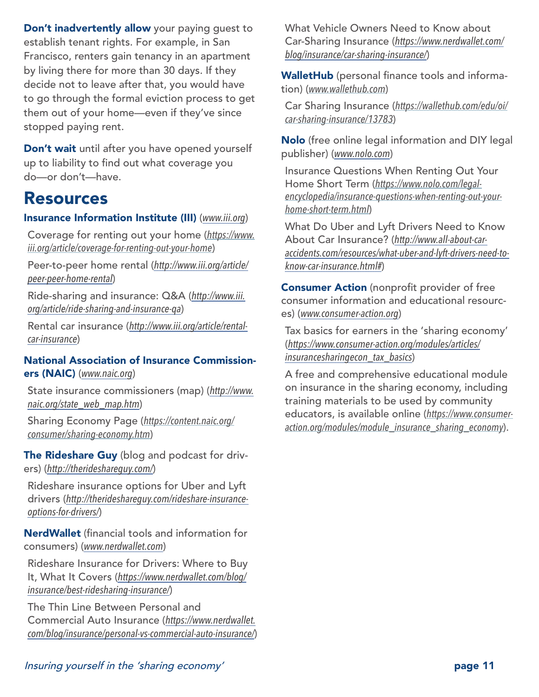Don't inadvertently allow your paying quest to establish tenant rights. For example, in San Francisco, renters gain tenancy in an apartment by living there for more than 30 days. If they decide not to leave after that, you would have to go through the formal eviction process to get them out of your home—even if they've since stopped paying rent.

Don't wait until after you have opened yourself up to liability to find out what coverage you do—or don't—have.

### Resources

### Insurance Information Institute (III) (*[www.iii.org](http://www.iii.org)*)

Coverage for renting out your home (*[https://www.](https://www.iii.org/article/coverage-for-renting-out-your-home) [iii.org/article/coverage-for-renting-out-your-home](https://www.iii.org/article/coverage-for-renting-out-your-home)*)

Peer-to-peer home rental (*[http://www.iii.org/article/](http://www.iii.org/article/peer-peer-home-rental) [peer-peer-home-rental](http://www.iii.org/article/peer-peer-home-rental)*)

Ride-sharing and insurance: Q&A (*[http://www.iii.](http://www.iii.org/article/ride-sharing-and-insurance-qa) [org/article/ride-sharing-and-insurance-qa](http://www.iii.org/article/ride-sharing-and-insurance-qa)*)

Rental car insurance (*[http://www.iii.org/article/rental](http://www.iii.org/article/rental-car-insurance)[car-insurance](http://www.iii.org/article/rental-car-insurance)*)

#### National Association of Insurance Commissioners (NAIC) (*[www.naic.org](http://www.naic.org)*)

State insurance commissioners (map) (*[http://www.](http://www.naic.org/state_web_map.htm) [naic.org/state\\_web\\_map.htm](http://www.naic.org/state_web_map.htm)*)

Sharing Economy Page (*[https://content.naic.org/](https://content.naic.org/consumer/sharing-economy.htm) [consumer/sharing-economy.htm](https://content.naic.org/consumer/sharing-economy.htm)*)

The Rideshare Guy (blog and podcast for drivers) (*<http://therideshareguy.com/>*)

Rideshare insurance options for Uber and Lyft drivers (*[http://therideshareguy.com/rideshare-insurance](http://therideshareguy.com/rideshare-insurance-options-for-drivers/)[options-for-drivers/](http://therideshareguy.com/rideshare-insurance-options-for-drivers/)*)

NerdWallet (financial tools and information for consumers) (*[www.nerdwallet.com](http://www.nerdwallet.com)*)

Rideshare Insurance for Drivers: Where to Buy It, What It Covers (*[https://www.nerdwallet.com/blog/](https://www.nerdwallet.com/blog/insurance/best-ridesharing-insurance/) [insurance/best-ridesharing-insurance/](https://www.nerdwallet.com/blog/insurance/best-ridesharing-insurance/)*)

The Thin Line Between Personal and Commercial Auto Insurance (*[https://www.nerdwallet.](https://www.nerdwallet.com/blog/insurance/personal-vs-commercial-auto-insurance/) [com/blog/insurance/personal-vs-commercial-auto-insurance/](https://www.nerdwallet.com/blog/insurance/personal-vs-commercial-auto-insurance/)*) What Vehicle Owners Need to Know about Car-Sharing Insurance (*[https://www.nerdwallet.com/](https://www.nerdwallet.com/blog/insurance/car-sharing-insurance/) [blog/insurance/car-sharing-insurance/](https://www.nerdwallet.com/blog/insurance/car-sharing-insurance/)*)

WalletHub (personal finance tools and information) (*[www.wallethub.com](http://www.wallethub.com)*)

Car Sharing Insurance (*[https://wallethub.com/edu/oi/](https://wallethub.com/edu/oi/car-sharing-insurance/13783) [car-sharing-insurance/13783](https://wallethub.com/edu/oi/car-sharing-insurance/13783)*)

Nolo (free online legal information and DIY legal publisher) (*[www.nolo.com](http://www.nolo.com)*)

Insurance Questions When Renting Out Your Home Short Term (*[https://www.nolo.com/legal](https://www.nolo.com/legal-encyclopedia/insurance-questions-when-renting-out-your-home-short-term.html)[encyclopedia/insurance-questions-when-renting-out-your](https://www.nolo.com/legal-encyclopedia/insurance-questions-when-renting-out-your-home-short-term.html)[home-short-term.html](https://www.nolo.com/legal-encyclopedia/insurance-questions-when-renting-out-your-home-short-term.html)*)

What Do Uber and Lyft Drivers Need to Know About Car Insurance? (*[http://www.all-about-car](http://www.all-about-car-accidents.com/resources/what-uber-and-lyft-drivers-need-to-know-car-insurance.html)[accidents.com/resources/what-uber-and-lyft-drivers-need-to](http://www.all-about-car-accidents.com/resources/what-uber-and-lyft-drivers-need-to-know-car-insurance.html)[know-car-insurance.html#](http://www.all-about-car-accidents.com/resources/what-uber-and-lyft-drivers-need-to-know-car-insurance.html)*)

**Consumer Action** (nonprofit provider of free consumer information and educational resources) (*[www.consumer-action.org](http://www.consumer-action.org)*)

Tax basics for earners in the 'sharing economy' (*[https://www.consumer-action.org/modules/articles/](https://www.consumer-action.org/modules/articles/insurancesharingecon_tax_basics) [insurancesharingecon\\_tax\\_basics](https://www.consumer-action.org/modules/articles/insurancesharingecon_tax_basics)*)

A free and comprehensive educational module on insurance in the sharing economy, including training materials to be used by community educators, is available online (*[https://www.consumer](https://www.consumer-action.org/modules/module_insurance_sharing_economy)[action.org/modules/module\\_insurance\\_sharing\\_economy](https://www.consumer-action.org/modules/module_insurance_sharing_economy)*).

### Insuring yourself in the 'sharing economy' page 11